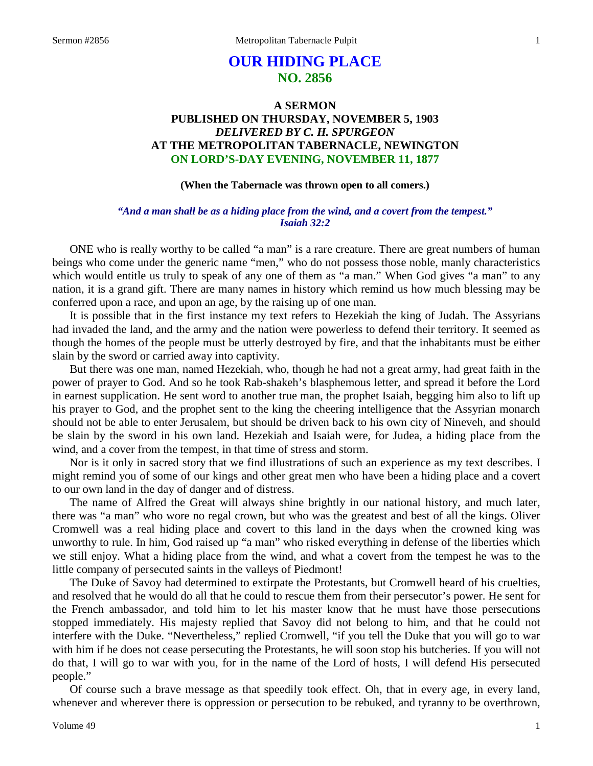# **OUR HIDING PLACE NO. 2856**

# **A SERMON PUBLISHED ON THURSDAY, NOVEMBER 5, 1903** *DELIVERED BY C. H. SPURGEON* **AT THE METROPOLITAN TABERNACLE, NEWINGTON ON LORD'S-DAY EVENING, NOVEMBER 11, 1877**

### **(When the Tabernacle was thrown open to all comers.)**

## *"And a man shall be as a hiding place from the wind, and a covert from the tempest." Isaiah 32:2*

ONE who is really worthy to be called "a man" is a rare creature. There are great numbers of human beings who come under the generic name "men," who do not possess those noble, manly characteristics which would entitle us truly to speak of any one of them as "a man." When God gives "a man" to any nation, it is a grand gift. There are many names in history which remind us how much blessing may be conferred upon a race, and upon an age, by the raising up of one man.

It is possible that in the first instance my text refers to Hezekiah the king of Judah. The Assyrians had invaded the land, and the army and the nation were powerless to defend their territory. It seemed as though the homes of the people must be utterly destroyed by fire, and that the inhabitants must be either slain by the sword or carried away into captivity.

But there was one man, named Hezekiah, who, though he had not a great army, had great faith in the power of prayer to God. And so he took Rab-shakeh's blasphemous letter, and spread it before the Lord in earnest supplication. He sent word to another true man, the prophet Isaiah, begging him also to lift up his prayer to God, and the prophet sent to the king the cheering intelligence that the Assyrian monarch should not be able to enter Jerusalem, but should be driven back to his own city of Nineveh, and should be slain by the sword in his own land. Hezekiah and Isaiah were, for Judea, a hiding place from the wind, and a cover from the tempest, in that time of stress and storm.

Nor is it only in sacred story that we find illustrations of such an experience as my text describes. I might remind you of some of our kings and other great men who have been a hiding place and a covert to our own land in the day of danger and of distress.

The name of Alfred the Great will always shine brightly in our national history, and much later, there was "a man" who wore no regal crown, but who was the greatest and best of all the kings. Oliver Cromwell was a real hiding place and covert to this land in the days when the crowned king was unworthy to rule. In him, God raised up "a man" who risked everything in defense of the liberties which we still enjoy. What a hiding place from the wind, and what a covert from the tempest he was to the little company of persecuted saints in the valleys of Piedmont!

The Duke of Savoy had determined to extirpate the Protestants, but Cromwell heard of his cruelties, and resolved that he would do all that he could to rescue them from their persecutor's power. He sent for the French ambassador, and told him to let his master know that he must have those persecutions stopped immediately. His majesty replied that Savoy did not belong to him, and that he could not interfere with the Duke. "Nevertheless," replied Cromwell, "if you tell the Duke that you will go to war with him if he does not cease persecuting the Protestants, he will soon stop his butcheries. If you will not do that, I will go to war with you, for in the name of the Lord of hosts, I will defend His persecuted people."

Of course such a brave message as that speedily took effect. Oh, that in every age, in every land, whenever and wherever there is oppression or persecution to be rebuked, and tyranny to be overthrown,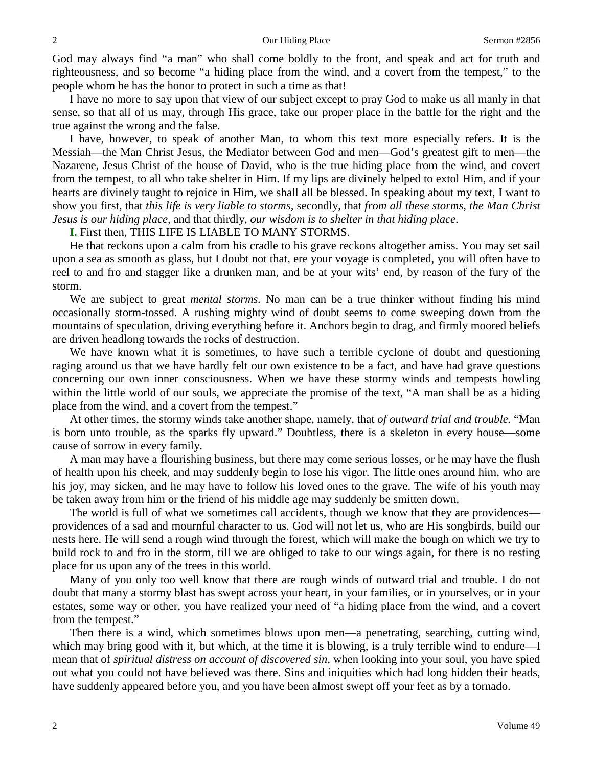God may always find "a man" who shall come boldly to the front, and speak and act for truth and righteousness, and so become "a hiding place from the wind, and a covert from the tempest," to the people whom he has the honor to protect in such a time as that!

I have no more to say upon that view of our subject except to pray God to make us all manly in that sense, so that all of us may, through His grace, take our proper place in the battle for the right and the true against the wrong and the false.

I have, however, to speak of another Man, to whom this text more especially refers. It is the Messiah—the Man Christ Jesus, the Mediator between God and men—God's greatest gift to men—the Nazarene, Jesus Christ of the house of David, who is the true hiding place from the wind, and covert from the tempest, to all who take shelter in Him. If my lips are divinely helped to extol Him, and if your hearts are divinely taught to rejoice in Him, we shall all be blessed. In speaking about my text, I want to show you first, that *this life is very liable to storms,* secondly, that *from all these storms, the Man Christ Jesus is our hiding place,* and that thirdly, *our wisdom is to shelter in that hiding place*.

**I.** First then, THIS LIFE IS LIABLE TO MANY STORMS.

He that reckons upon a calm from his cradle to his grave reckons altogether amiss. You may set sail upon a sea as smooth as glass, but I doubt not that, ere your voyage is completed, you will often have to reel to and fro and stagger like a drunken man, and be at your wits' end, by reason of the fury of the storm.

We are subject to great *mental storms.* No man can be a true thinker without finding his mind occasionally storm-tossed. A rushing mighty wind of doubt seems to come sweeping down from the mountains of speculation, driving everything before it. Anchors begin to drag, and firmly moored beliefs are driven headlong towards the rocks of destruction.

We have known what it is sometimes, to have such a terrible cyclone of doubt and questioning raging around us that we have hardly felt our own existence to be a fact, and have had grave questions concerning our own inner consciousness. When we have these stormy winds and tempests howling within the little world of our souls, we appreciate the promise of the text, "A man shall be as a hiding place from the wind, and a covert from the tempest."

At other times, the stormy winds take another shape, namely, that *of outward trial and trouble.* "Man is born unto trouble, as the sparks fly upward." Doubtless, there is a skeleton in every house—some cause of sorrow in every family.

A man may have a flourishing business, but there may come serious losses, or he may have the flush of health upon his cheek, and may suddenly begin to lose his vigor. The little ones around him, who are his joy, may sicken, and he may have to follow his loved ones to the grave. The wife of his youth may be taken away from him or the friend of his middle age may suddenly be smitten down.

The world is full of what we sometimes call accidents, though we know that they are providences providences of a sad and mournful character to us. God will not let us, who are His songbirds, build our nests here. He will send a rough wind through the forest, which will make the bough on which we try to build rock to and fro in the storm, till we are obliged to take to our wings again, for there is no resting place for us upon any of the trees in this world.

Many of you only too well know that there are rough winds of outward trial and trouble. I do not doubt that many a stormy blast has swept across your heart, in your families, or in yourselves, or in your estates, some way or other, you have realized your need of "a hiding place from the wind, and a covert from the tempest."

Then there is a wind, which sometimes blows upon men—a penetrating, searching, cutting wind, which may bring good with it, but which, at the time it is blowing, is a truly terrible wind to endure—I mean that of *spiritual distress on account of discovered sin,* when looking into your soul, you have spied out what you could not have believed was there. Sins and iniquities which had long hidden their heads, have suddenly appeared before you, and you have been almost swept off your feet as by a tornado.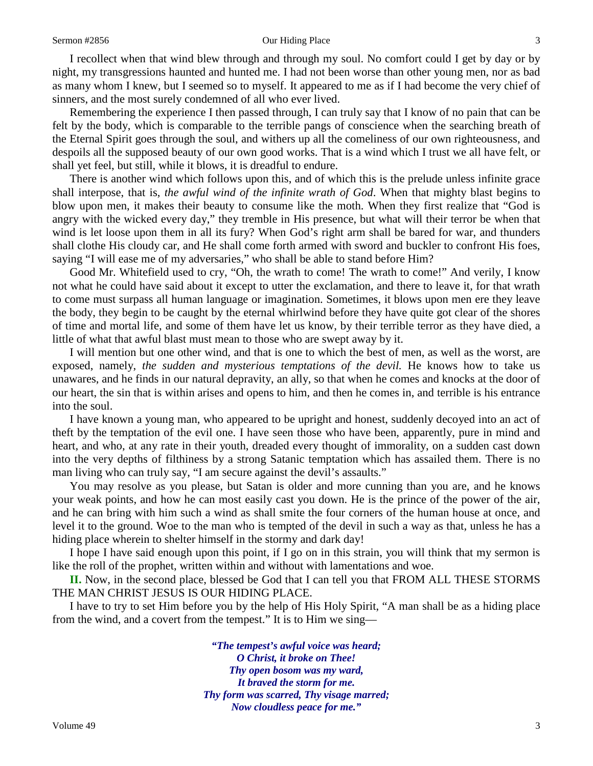### Sermon #2856 **Our Hiding Place** 3

I recollect when that wind blew through and through my soul. No comfort could I get by day or by night, my transgressions haunted and hunted me. I had not been worse than other young men, nor as bad as many whom I knew, but I seemed so to myself. It appeared to me as if I had become the very chief of sinners, and the most surely condemned of all who ever lived.

Remembering the experience I then passed through, I can truly say that I know of no pain that can be felt by the body, which is comparable to the terrible pangs of conscience when the searching breath of the Eternal Spirit goes through the soul, and withers up all the comeliness of our own righteousness, and despoils all the supposed beauty of our own good works. That is a wind which I trust we all have felt, or shall yet feel, but still, while it blows, it is dreadful to endure.

There is another wind which follows upon this, and of which this is the prelude unless infinite grace shall interpose, that is, *the awful wind of the infinite wrath of God*. When that mighty blast begins to blow upon men, it makes their beauty to consume like the moth. When they first realize that "God is angry with the wicked every day," they tremble in His presence, but what will their terror be when that wind is let loose upon them in all its fury? When God's right arm shall be bared for war, and thunders shall clothe His cloudy car, and He shall come forth armed with sword and buckler to confront His foes, saying "I will ease me of my adversaries," who shall be able to stand before Him?

Good Mr. Whitefield used to cry, "Oh, the wrath to come! The wrath to come!" And verily, I know not what he could have said about it except to utter the exclamation, and there to leave it, for that wrath to come must surpass all human language or imagination. Sometimes, it blows upon men ere they leave the body, they begin to be caught by the eternal whirlwind before they have quite got clear of the shores of time and mortal life, and some of them have let us know, by their terrible terror as they have died, a little of what that awful blast must mean to those who are swept away by it.

I will mention but one other wind, and that is one to which the best of men, as well as the worst, are exposed, namely, *the sudden and mysterious temptations of the devil.* He knows how to take us unawares, and he finds in our natural depravity, an ally, so that when he comes and knocks at the door of our heart, the sin that is within arises and opens to him, and then he comes in, and terrible is his entrance into the soul.

I have known a young man, who appeared to be upright and honest, suddenly decoyed into an act of theft by the temptation of the evil one. I have seen those who have been, apparently, pure in mind and heart, and who, at any rate in their youth, dreaded every thought of immorality, on a sudden cast down into the very depths of filthiness by a strong Satanic temptation which has assailed them. There is no man living who can truly say, "I am secure against the devil's assaults."

You may resolve as you please, but Satan is older and more cunning than you are, and he knows your weak points, and how he can most easily cast you down. He is the prince of the power of the air, and he can bring with him such a wind as shall smite the four corners of the human house at once, and level it to the ground. Woe to the man who is tempted of the devil in such a way as that, unless he has a hiding place wherein to shelter himself in the stormy and dark day!

I hope I have said enough upon this point, if I go on in this strain, you will think that my sermon is like the roll of the prophet, written within and without with lamentations and woe.

**II.** Now, in the second place, blessed be God that I can tell you that FROM ALL THESE STORMS THE MAN CHRIST JESUS IS OUR HIDING PLACE.

I have to try to set Him before you by the help of His Holy Spirit, "A man shall be as a hiding place from the wind, and a covert from the tempest." It is to Him we sing—

> *"The tempest's awful voice was heard; O Christ, it broke on Thee! Thy open bosom was my ward, It braved the storm for me. Thy form was scarred, Thy visage marred; Now cloudless peace for me."*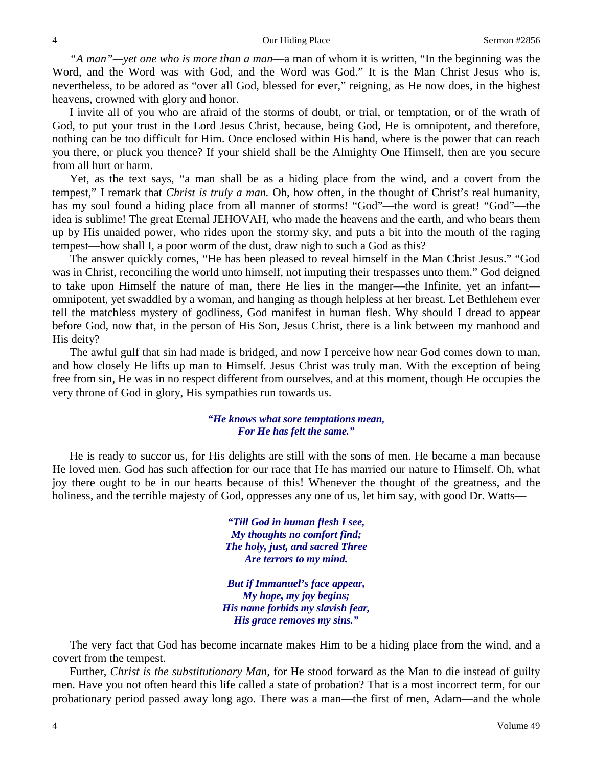*"A man"—yet one who is more than a man*—a man of whom it is written, "In the beginning was the Word, and the Word was with God, and the Word was God." It is the Man Christ Jesus who is, nevertheless, to be adored as "over all God, blessed for ever," reigning, as He now does, in the highest heavens, crowned with glory and honor.

I invite all of you who are afraid of the storms of doubt, or trial, or temptation, or of the wrath of God, to put your trust in the Lord Jesus Christ, because, being God, He is omnipotent, and therefore, nothing can be too difficult for Him. Once enclosed within His hand, where is the power that can reach you there, or pluck you thence? If your shield shall be the Almighty One Himself, then are you secure from all hurt or harm.

Yet, as the text says, "a man shall be as a hiding place from the wind, and a covert from the tempest," I remark that *Christ is truly a man.* Oh, how often, in the thought of Christ's real humanity, has my soul found a hiding place from all manner of storms! "God"—the word is great! "God"—the idea is sublime! The great Eternal JEHOVAH, who made the heavens and the earth, and who bears them up by His unaided power, who rides upon the stormy sky, and puts a bit into the mouth of the raging tempest—how shall I, a poor worm of the dust, draw nigh to such a God as this?

The answer quickly comes, "He has been pleased to reveal himself in the Man Christ Jesus." "God was in Christ, reconciling the world unto himself, not imputing their trespasses unto them." God deigned to take upon Himself the nature of man, there He lies in the manger—the Infinite, yet an infant omnipotent, yet swaddled by a woman, and hanging as though helpless at her breast. Let Bethlehem ever tell the matchless mystery of godliness, God manifest in human flesh. Why should I dread to appear before God, now that, in the person of His Son, Jesus Christ, there is a link between my manhood and His deity?

The awful gulf that sin had made is bridged, and now I perceive how near God comes down to man, and how closely He lifts up man to Himself. Jesus Christ was truly man. With the exception of being free from sin, He was in no respect different from ourselves, and at this moment, though He occupies the very throne of God in glory, His sympathies run towards us.

## *"He knows what sore temptations mean, For He has felt the same."*

He is ready to succor us, for His delights are still with the sons of men. He became a man because He loved men. God has such affection for our race that He has married our nature to Himself. Oh, what joy there ought to be in our hearts because of this! Whenever the thought of the greatness, and the holiness, and the terrible majesty of God, oppresses any one of us, let him say, with good Dr. Watts—

> *"Till God in human flesh I see, My thoughts no comfort find; The holy, just, and sacred Three Are terrors to my mind.*

*But if Immanuel's face appear, My hope, my joy begins; His name forbids my slavish fear, His grace removes my sins."*

The very fact that God has become incarnate makes Him to be a hiding place from the wind, and a covert from the tempest.

Further, *Christ is the substitutionary Man,* for He stood forward as the Man to die instead of guilty men. Have you not often heard this life called a state of probation? That is a most incorrect term, for our probationary period passed away long ago. There was a man—the first of men, Adam—and the whole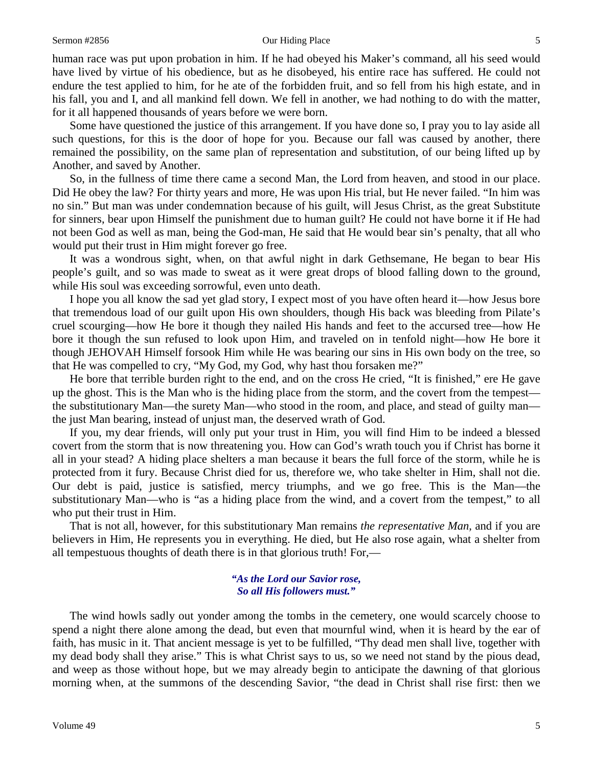### Sermon #2856 **Sermon #2856** Our Hiding Place 5

human race was put upon probation in him. If he had obeyed his Maker's command, all his seed would have lived by virtue of his obedience, but as he disobeyed, his entire race has suffered. He could not endure the test applied to him, for he ate of the forbidden fruit, and so fell from his high estate, and in his fall, you and I, and all mankind fell down. We fell in another, we had nothing to do with the matter, for it all happened thousands of years before we were born.

Some have questioned the justice of this arrangement. If you have done so, I pray you to lay aside all such questions, for this is the door of hope for you. Because our fall was caused by another, there remained the possibility, on the same plan of representation and substitution, of our being lifted up by Another, and saved by Another.

So, in the fullness of time there came a second Man, the Lord from heaven, and stood in our place. Did He obey the law? For thirty years and more, He was upon His trial, but He never failed. "In him was no sin." But man was under condemnation because of his guilt, will Jesus Christ, as the great Substitute for sinners, bear upon Himself the punishment due to human guilt? He could not have borne it if He had not been God as well as man, being the God-man, He said that He would bear sin's penalty, that all who would put their trust in Him might forever go free.

It was a wondrous sight, when, on that awful night in dark Gethsemane, He began to bear His people's guilt, and so was made to sweat as it were great drops of blood falling down to the ground, while His soul was exceeding sorrowful, even unto death.

I hope you all know the sad yet glad story, I expect most of you have often heard it—how Jesus bore that tremendous load of our guilt upon His own shoulders, though His back was bleeding from Pilate's cruel scourging—how He bore it though they nailed His hands and feet to the accursed tree—how He bore it though the sun refused to look upon Him, and traveled on in tenfold night—how He bore it though JEHOVAH Himself forsook Him while He was bearing our sins in His own body on the tree, so that He was compelled to cry, "My God, my God, why hast thou forsaken me?"

He bore that terrible burden right to the end, and on the cross He cried, "It is finished," ere He gave up the ghost. This is the Man who is the hiding place from the storm, and the covert from the tempest the substitutionary Man—the surety Man—who stood in the room, and place, and stead of guilty man the just Man bearing, instead of unjust man, the deserved wrath of God.

If you, my dear friends, will only put your trust in Him, you will find Him to be indeed a blessed covert from the storm that is now threatening you. How can God's wrath touch you if Christ has borne it all in your stead? A hiding place shelters a man because it bears the full force of the storm, while he is protected from it fury. Because Christ died for us, therefore we, who take shelter in Him, shall not die. Our debt is paid, justice is satisfied, mercy triumphs, and we go free. This is the Man—the substitutionary Man—who is "as a hiding place from the wind, and a covert from the tempest," to all who put their trust in Him.

That is not all, however, for this substitutionary Man remains *the representative Man,* and if you are believers in Him, He represents you in everything. He died, but He also rose again, what a shelter from all tempestuous thoughts of death there is in that glorious truth! For,—

## *"As the Lord our Savior rose, So all His followers must."*

The wind howls sadly out yonder among the tombs in the cemetery, one would scarcely choose to spend a night there alone among the dead, but even that mournful wind, when it is heard by the ear of faith, has music in it. That ancient message is yet to be fulfilled, "Thy dead men shall live, together with my dead body shall they arise." This is what Christ says to us, so we need not stand by the pious dead, and weep as those without hope, but we may already begin to anticipate the dawning of that glorious morning when, at the summons of the descending Savior, "the dead in Christ shall rise first: then we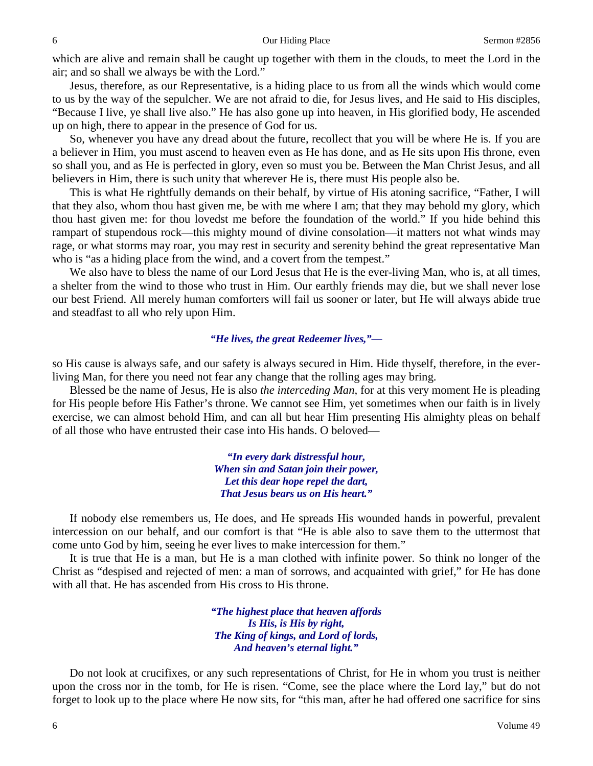which are alive and remain shall be caught up together with them in the clouds, to meet the Lord in the air; and so shall we always be with the Lord."

Jesus, therefore, as our Representative, is a hiding place to us from all the winds which would come to us by the way of the sepulcher. We are not afraid to die, for Jesus lives, and He said to His disciples, "Because I live, ye shall live also." He has also gone up into heaven, in His glorified body, He ascended up on high, there to appear in the presence of God for us.

So, whenever you have any dread about the future, recollect that you will be where He is. If you are a believer in Him, you must ascend to heaven even as He has done, and as He sits upon His throne, even so shall you, and as He is perfected in glory, even so must you be. Between the Man Christ Jesus, and all believers in Him, there is such unity that wherever He is, there must His people also be.

This is what He rightfully demands on their behalf, by virtue of His atoning sacrifice, "Father, I will that they also, whom thou hast given me, be with me where I am; that they may behold my glory, which thou hast given me: for thou lovedst me before the foundation of the world." If you hide behind this rampart of stupendous rock—this mighty mound of divine consolation—it matters not what winds may rage, or what storms may roar, you may rest in security and serenity behind the great representative Man who is "as a hiding place from the wind, and a covert from the tempest."

We also have to bless the name of our Lord Jesus that He is the ever-living Man, who is, at all times, a shelter from the wind to those who trust in Him. Our earthly friends may die, but we shall never lose our best Friend. All merely human comforters will fail us sooner or later, but He will always abide true and steadfast to all who rely upon Him.

### *"He lives, the great Redeemer lives,"—*

so His cause is always safe, and our safety is always secured in Him. Hide thyself, therefore, in the everliving Man, for there you need not fear any change that the rolling ages may bring.

Blessed be the name of Jesus, He is also *the interceding Man,* for at this very moment He is pleading for His people before His Father's throne. We cannot see Him, yet sometimes when our faith is in lively exercise, we can almost behold Him, and can all but hear Him presenting His almighty pleas on behalf of all those who have entrusted their case into His hands. O beloved—

> *"In every dark distressful hour, When sin and Satan join their power, Let this dear hope repel the dart, That Jesus bears us on His heart."*

If nobody else remembers us, He does, and He spreads His wounded hands in powerful, prevalent intercession on our behalf, and our comfort is that "He is able also to save them to the uttermost that come unto God by him, seeing he ever lives to make intercession for them."

It is true that He is a man, but He is a man clothed with infinite power. So think no longer of the Christ as "despised and rejected of men: a man of sorrows, and acquainted with grief," for He has done with all that. He has ascended from His cross to His throne.

> *"The highest place that heaven affords Is His, is His by right, The King of kings, and Lord of lords, And heaven's eternal light."*

Do not look at crucifixes, or any such representations of Christ, for He in whom you trust is neither upon the cross nor in the tomb, for He is risen. "Come, see the place where the Lord lay," but do not forget to look up to the place where He now sits, for "this man, after he had offered one sacrifice for sins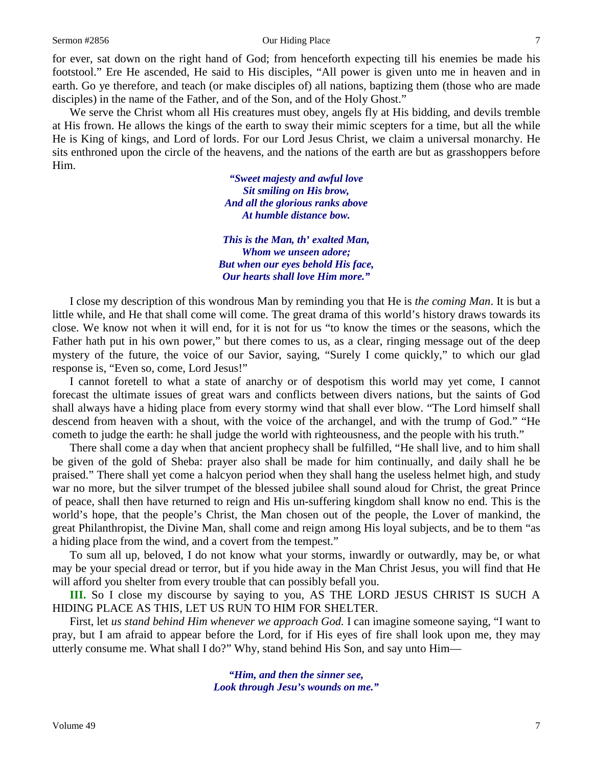### Sermon #2856 **Our Hiding Place** 7

for ever, sat down on the right hand of God; from henceforth expecting till his enemies be made his footstool." Ere He ascended, He said to His disciples, "All power is given unto me in heaven and in earth. Go ye therefore, and teach (or make disciples of) all nations, baptizing them (those who are made disciples) in the name of the Father, and of the Son, and of the Holy Ghost."

We serve the Christ whom all His creatures must obey, angels fly at His bidding, and devils tremble at His frown. He allows the kings of the earth to sway their mimic scepters for a time, but all the while He is King of kings, and Lord of lords. For our Lord Jesus Christ, we claim a universal monarchy. He sits enthroned upon the circle of the heavens, and the nations of the earth are but as grasshoppers before Him.

> *"Sweet majesty and awful love Sit smiling on His brow, And all the glorious ranks above At humble distance bow.*

*This is the Man, th' exalted Man, Whom we unseen adore; But when our eyes behold His face, Our hearts shall love Him more."*

I close my description of this wondrous Man by reminding you that He is *the coming Man*. It is but a little while, and He that shall come will come. The great drama of this world's history draws towards its close. We know not when it will end, for it is not for us "to know the times or the seasons, which the Father hath put in his own power," but there comes to us, as a clear, ringing message out of the deep mystery of the future, the voice of our Savior, saying, "Surely I come quickly," to which our glad response is, "Even so, come, Lord Jesus!"

I cannot foretell to what a state of anarchy or of despotism this world may yet come, I cannot forecast the ultimate issues of great wars and conflicts between divers nations, but the saints of God shall always have a hiding place from every stormy wind that shall ever blow. "The Lord himself shall descend from heaven with a shout, with the voice of the archangel, and with the trump of God." "He cometh to judge the earth: he shall judge the world with righteousness, and the people with his truth."

There shall come a day when that ancient prophecy shall be fulfilled, "He shall live, and to him shall be given of the gold of Sheba: prayer also shall be made for him continually, and daily shall he be praised." There shall yet come a halcyon period when they shall hang the useless helmet high, and study war no more, but the silver trumpet of the blessed jubilee shall sound aloud for Christ, the great Prince of peace, shall then have returned to reign and His un-suffering kingdom shall know no end. This is the world's hope, that the people's Christ, the Man chosen out of the people, the Lover of mankind, the great Philanthropist, the Divine Man, shall come and reign among His loyal subjects, and be to them "as a hiding place from the wind, and a covert from the tempest."

To sum all up, beloved, I do not know what your storms, inwardly or outwardly, may be, or what may be your special dread or terror, but if you hide away in the Man Christ Jesus, you will find that He will afford you shelter from every trouble that can possibly befall you.

**III.** So I close my discourse by saying to you, AS THE LORD JESUS CHRIST IS SUCH A HIDING PLACE AS THIS, LET US RUN TO HIM FOR SHELTER.

First, let *us stand behind Him whenever we approach God.* I can imagine someone saying, "I want to pray, but I am afraid to appear before the Lord, for if His eyes of fire shall look upon me, they may utterly consume me. What shall I do?" Why, stand behind His Son, and say unto Him—

> *"Him, and then the sinner see, Look through Jesu's wounds on me."*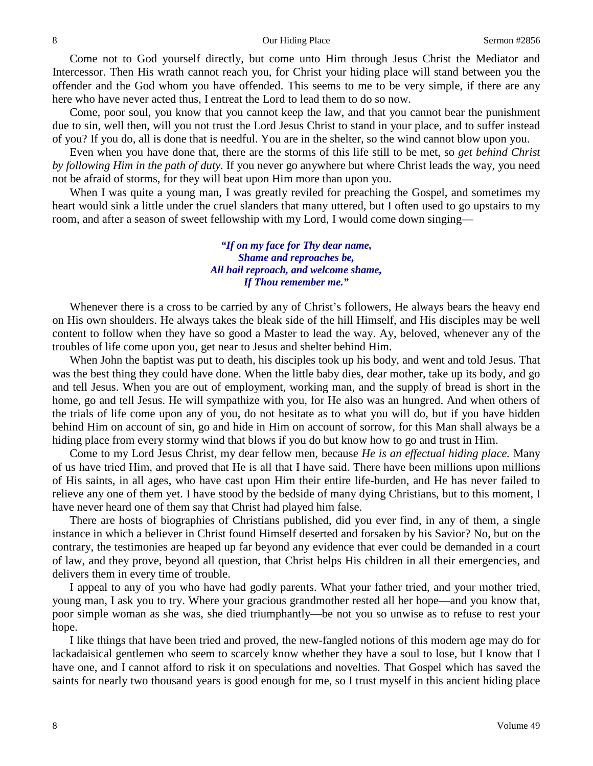Come not to God yourself directly, but come unto Him through Jesus Christ the Mediator and Intercessor. Then His wrath cannot reach you, for Christ your hiding place will stand between you the offender and the God whom you have offended. This seems to me to be very simple, if there are any here who have never acted thus, I entreat the Lord to lead them to do so now.

Come, poor soul, you know that you cannot keep the law, and that you cannot bear the punishment due to sin, well then, will you not trust the Lord Jesus Christ to stand in your place, and to suffer instead of you? If you do, all is done that is needful. You are in the shelter, so the wind cannot blow upon you.

Even when you have done that, there are the storms of this life still to be met, so *get behind Christ by following Him in the path of duty.* If you never go anywhere but where Christ leads the way, you need not be afraid of storms, for they will beat upon Him more than upon you.

When I was quite a young man, I was greatly reviled for preaching the Gospel, and sometimes my heart would sink a little under the cruel slanders that many uttered, but I often used to go upstairs to my room, and after a season of sweet fellowship with my Lord, I would come down singing—

> *"If on my face for Thy dear name, Shame and reproaches be, All hail reproach, and welcome shame, If Thou remember me."*

Whenever there is a cross to be carried by any of Christ's followers, He always bears the heavy end on His own shoulders. He always takes the bleak side of the hill Himself, and His disciples may be well content to follow when they have so good a Master to lead the way. Ay, beloved, whenever any of the troubles of life come upon you, get near to Jesus and shelter behind Him.

When John the baptist was put to death, his disciples took up his body, and went and told Jesus. That was the best thing they could have done. When the little baby dies, dear mother, take up its body, and go and tell Jesus. When you are out of employment, working man, and the supply of bread is short in the home, go and tell Jesus. He will sympathize with you, for He also was an hungred. And when others of the trials of life come upon any of you, do not hesitate as to what you will do, but if you have hidden behind Him on account of sin, go and hide in Him on account of sorrow, for this Man shall always be a hiding place from every stormy wind that blows if you do but know how to go and trust in Him.

Come to my Lord Jesus Christ, my dear fellow men, because *He is an effectual hiding place.* Many of us have tried Him, and proved that He is all that I have said. There have been millions upon millions of His saints, in all ages, who have cast upon Him their entire life-burden, and He has never failed to relieve any one of them yet. I have stood by the bedside of many dying Christians, but to this moment, I have never heard one of them say that Christ had played him false.

There are hosts of biographies of Christians published, did you ever find, in any of them, a single instance in which a believer in Christ found Himself deserted and forsaken by his Savior? No, but on the contrary, the testimonies are heaped up far beyond any evidence that ever could be demanded in a court of law, and they prove, beyond all question, that Christ helps His children in all their emergencies, and delivers them in every time of trouble.

I appeal to any of you who have had godly parents. What your father tried, and your mother tried, young man, I ask you to try. Where your gracious grandmother rested all her hope—and you know that, poor simple woman as she was, she died triumphantly—be not you so unwise as to refuse to rest your hope.

I like things that have been tried and proved, the new-fangled notions of this modern age may do for lackadaisical gentlemen who seem to scarcely know whether they have a soul to lose, but I know that I have one, and I cannot afford to risk it on speculations and novelties. That Gospel which has saved the saints for nearly two thousand years is good enough for me, so I trust myself in this ancient hiding place